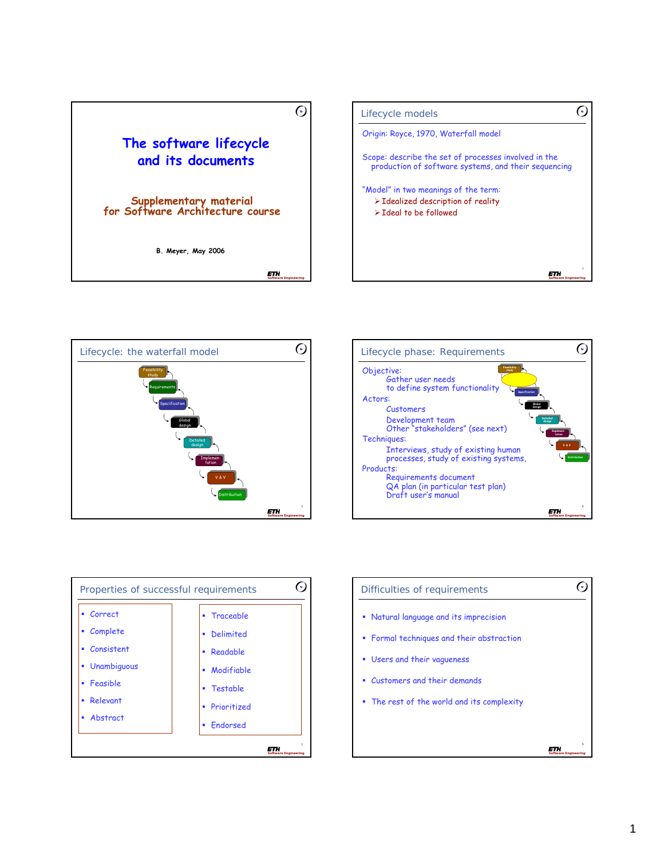







| Difficulties of requirements               |  |
|--------------------------------------------|--|
| • Natural language and its imprecision     |  |
| • Formal techniques and their abstraction  |  |
| " Users and their vagueness                |  |
| Customers and their demands<br>٠           |  |
| • The rest of the world and its complexity |  |
|                                            |  |
|                                            |  |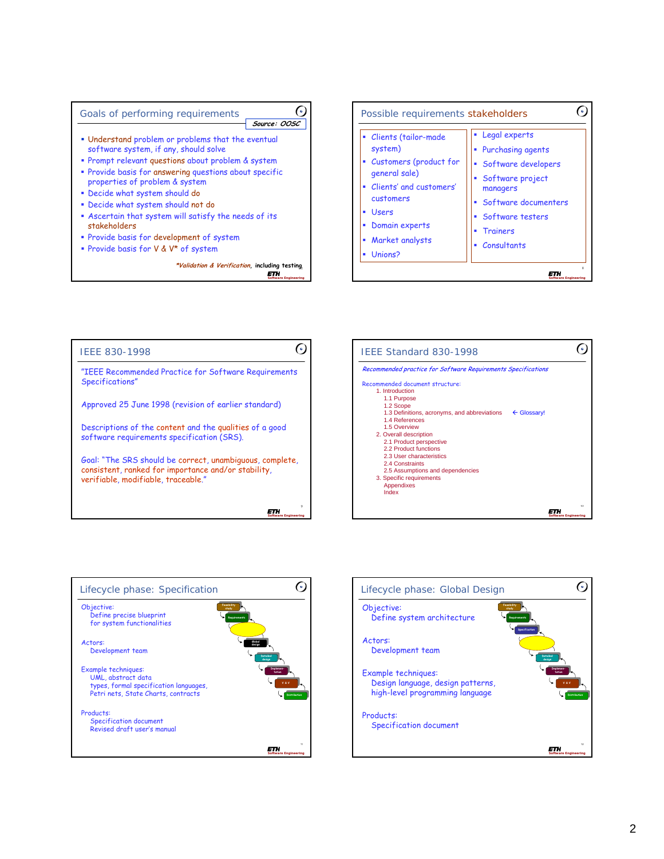







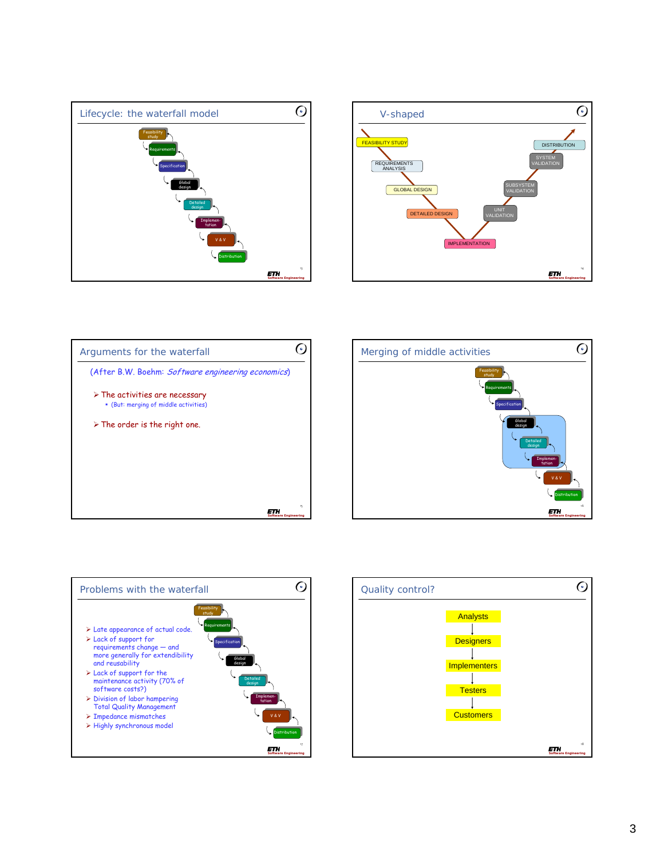









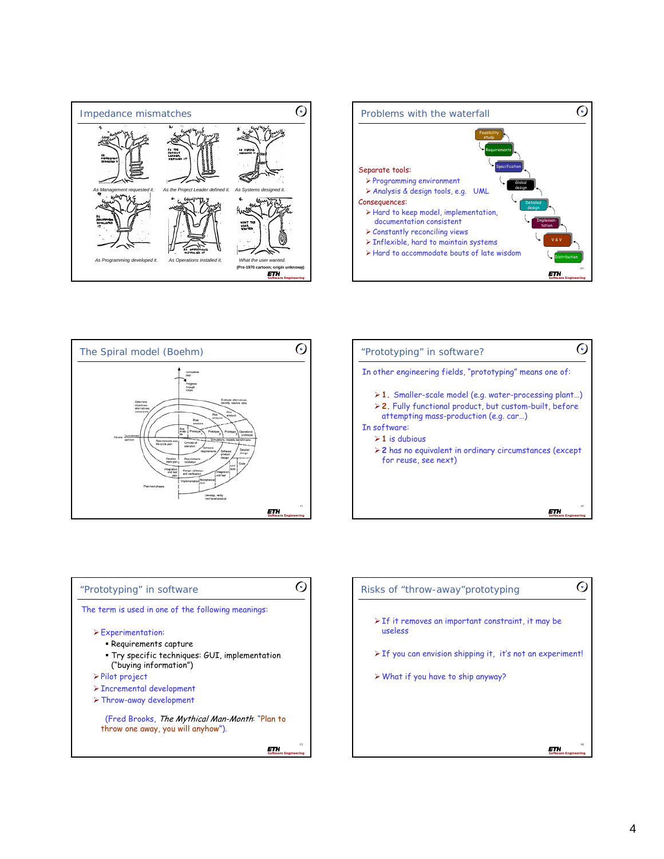









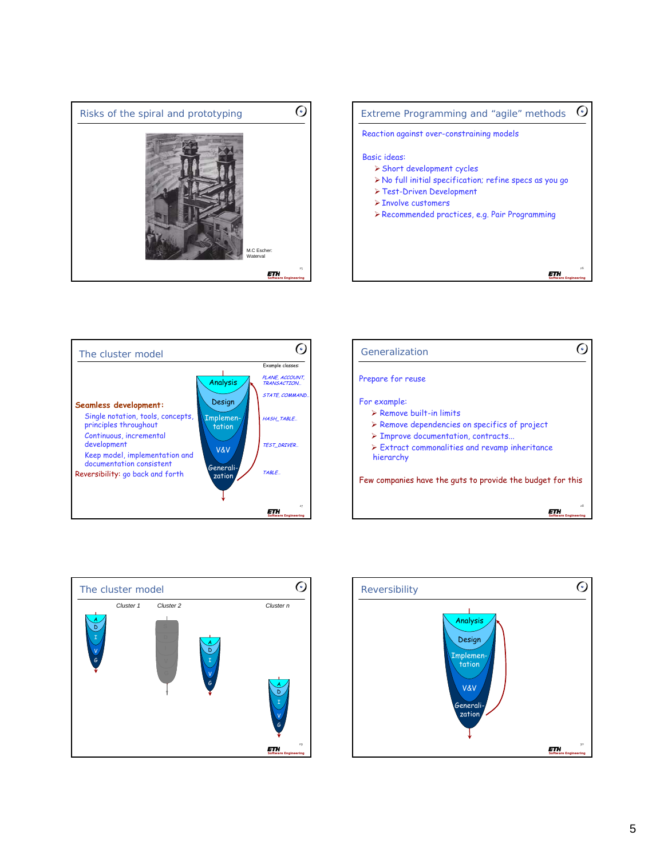